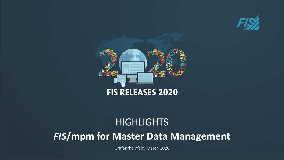



# **HIGHLIGHTS**

# *FIS***/mpm for Master Data Management**

Grafenrheinfeld, March 2020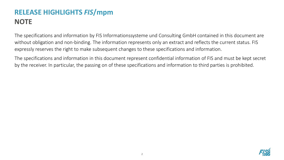## **RELEASE HIGHLIGHTS** *FIS***/mpm NOTE**

The specifications and information by FIS Informationssysteme und Consulting GmbH contained in this document are without obligation and non-binding. The information represents only an extract and reflects the current status. FIS expressly reserves the right to make subsequent changes to these specifications and information.

The specifications and information in this document represent confidential information of FIS and must be kept secret by the receiver. In particular, the passing on of these specifications and information to third parties is prohibited.

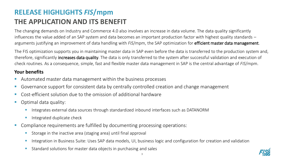## **RELEASE HIGHLIGHTS** *FIS***/mpm THE APPLICATION AND ITS BENEFIT**

The changing demands on Industry and Commerce 4.0 also involves an increase in data volume. The data quality significantly influences the value added of an SAP system and data becomes an important production factor with highest quality standards – arguments justifying an improvement of data handling with *FIS*/mpm, the SAP optimization for efficient master data management.

The FIS optimization supports you in maintaining master data in SAP even before the data is transferred to the production system and, therefore, significantly increases data quality. The data is only transferred to the system after successful validation and execution of check routines. As a consequence, simple, fast and flexible master data management in SAP is the central advantage of *FIS*/mpm.

#### **Your benefits**

- Automated master data management within the business processes
- Governance support for consistent data by centrally controlled creation and change management
- Cost-efficient solution due to the omission of additional hardware
- Optimal data quality:
	- Integrates external data sources through standardized inbound interfaces such as DATANORM
	- Integrated duplicate check
- Compliance requirements are fulfilled by documenting processing operations:
	- Storage in the inactive area (staging area) until final approval
	- **E** Integration in Business Suite: Uses SAP data models, UI, business logic and configuration for creation and validation
	- Standard solutions for master data objects in purchasing and sales

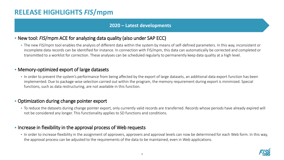### **RELEASE HIGHLIGHTS** *FIS***/mpm**

#### **2020 – Latest developments**

#### ▪ New tool: *FIS*/mpm ACE for analyzing data quality (also under SAP ECC)

**The new FIS/mpm tool enables the analysis of different data within the system by means of self-defined parameters. In this way, inconsistent or** incomplete data records can be identified for instance. In connection with FIS/mpm, this data can automatically be corrected and completed or transmitted to a worklist for correction. These analyses can be scheduled regularly to permanently keep data quality at a high level.

#### **• Memory-optimized export of large datasets**

• In order to prevent the system's performance from being affected by the export of large datasets, an additional data export function has been implemented. Due to package-wise selection carried out within the program, the memory requirement during export is minimized. Special functions, such as data restructuring, are not available in this function.

#### **• Optimization during change pointer export**

· To reduce the datasets during change pointer export, only currently valid records are transferred. Records whose periods have already expired will not be considered any longer. This functionality applies to SD functions and conditions.

#### **.** Increase in flexibility in the approval process of Web requests

• In order to increase flexibility in the assignment of approvers, approvers and approval levels can now be determined for each Web form. In this way, the approval process can be adjusted to the requirements of the data to be maintained, even in Web applications.

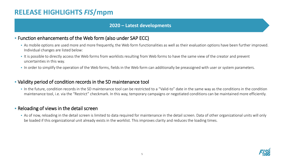### **RELEASE HIGHLIGHTS** *FIS***/mpm**

#### **2020 – Latest developments**

#### ▪ Function enhancements of the Web form (also under SAP ECC)

- As mobile options are used more and more frequently, the Web form functionalities as well as their evaluation options have been further improved. Individual changes are listed below:
- It is possible to directly access the Web forms from worklists resulting from Web forms to have the same view of the creator and prevent uncertainties in this way.
- . In order to simplify the operation of the Web forms, fields in the Web form can additionally be preassigned with user or system parameters.

#### ▪ Validity period of condition records in the SD maintenance tool

In the future, condition records in the SD maintenance tool can be restricted to a "Valid-to" date in the same way as the conditions in the condition maintenance tool, i.e. via the "Restrict" checkmark. In this way, temporary campaigns or negotiated conditions can be maintained more efficiently.

#### **EXEL AT A Reloading of views in the detail screen**

▪ As of now, reloading in the detail screen is limited to data required for maintenance in the detail screen. Data of other organizational units will only be loaded if this organizational unit already exists in the worklist. This improves clarity and reduces the loading times.